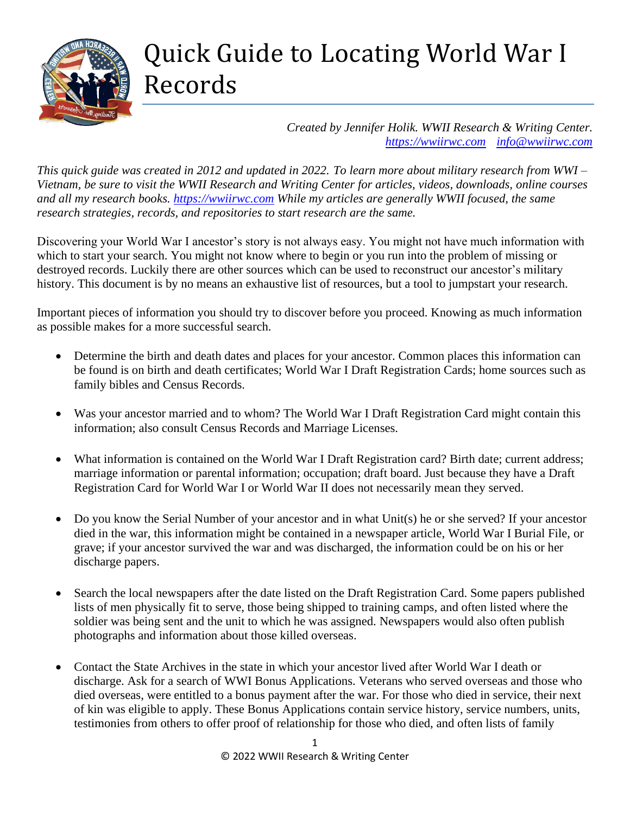

## Quick Guide to Locating World War I Records

*Created by Jennifer Holik. WWII Research & Writing Center. [https://wwiirwc.com](https://wwiirwc.com/) [info@wwiirwc.com](mailto:info@wwiirwc.com)*

*This quick guide was created in 2012 and updated in 2022. To learn more about military research from WWI – Vietnam, be sure to visit the WWII Research and Writing Center for articles, videos, downloads, online courses and all my research books. [https://wwiirwc.com](https://wwiirwc.com/) While my articles are generally WWII focused, the same research strategies, records, and repositories to start research are the same.*

Discovering your World War I ancestor's story is not always easy. You might not have much information with which to start your search. You might not know where to begin or you run into the problem of missing or destroyed records. Luckily there are other sources which can be used to reconstruct our ancestor's military history. This document is by no means an exhaustive list of resources, but a tool to jumpstart your research.

Important pieces of information you should try to discover before you proceed. Knowing as much information as possible makes for a more successful search.

- Determine the birth and death dates and places for your ancestor. Common places this information can be found is on birth and death certificates; World War I Draft Registration Cards; home sources such as family bibles and Census Records.
- Was your ancestor married and to whom? The World War I Draft Registration Card might contain this information; also consult Census Records and Marriage Licenses.
- What information is contained on the World War I Draft Registration card? Birth date; current address; marriage information or parental information; occupation; draft board. Just because they have a Draft Registration Card for World War I or World War II does not necessarily mean they served.
- Do you know the Serial Number of your ancestor and in what Unit(s) he or she served? If your ancestor died in the war, this information might be contained in a newspaper article, World War I Burial File, or grave; if your ancestor survived the war and was discharged, the information could be on his or her discharge papers.
- Search the local newspapers after the date listed on the Draft Registration Card. Some papers published lists of men physically fit to serve, those being shipped to training camps, and often listed where the soldier was being sent and the unit to which he was assigned. Newspapers would also often publish photographs and information about those killed overseas.
- Contact the State Archives in the state in which your ancestor lived after World War I death or discharge. Ask for a search of WWI Bonus Applications. Veterans who served overseas and those who died overseas, were entitled to a bonus payment after the war. For those who died in service, their next of kin was eligible to apply. These Bonus Applications contain service history, service numbers, units, testimonies from others to offer proof of relationship for those who died, and often lists of family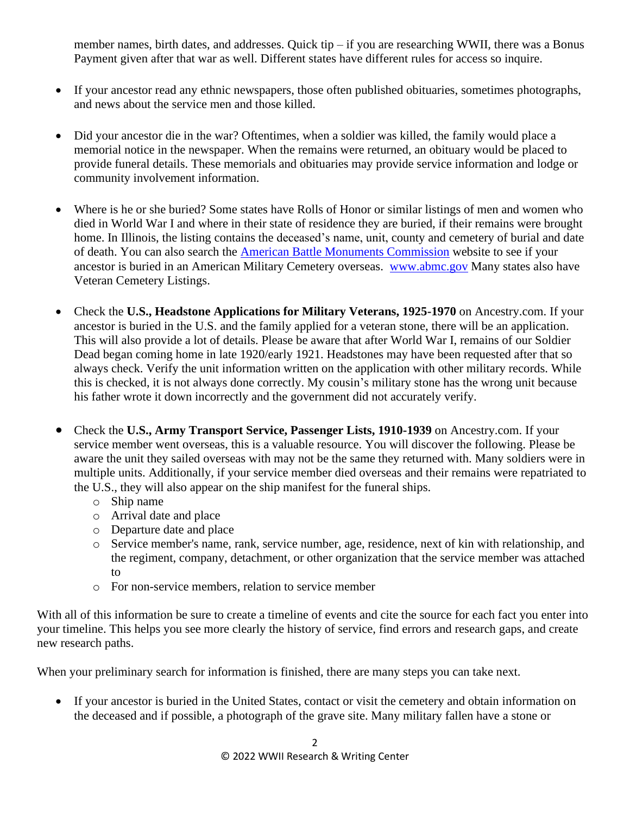member names, birth dates, and addresses. Quick tip – if you are researching WWII, there was a Bonus Payment given after that war as well. Different states have different rules for access so inquire.

- If your ancestor read any ethnic newspapers, those often published obituaries, sometimes photographs, and news about the service men and those killed.
- Did your ancestor die in the war? Oftentimes, when a soldier was killed, the family would place a memorial notice in the newspaper. When the remains were returned, an obituary would be placed to provide funeral details. These memorials and obituaries may provide service information and lodge or community involvement information.
- Where is he or she buried? Some states have Rolls of Honor or similar listings of men and women who died in World War I and where in their state of residence they are buried, if their remains were brought home. In Illinois, the listing contains the deceased's name, unit, county and cemetery of burial and date of death. You can also search the [American Battle Monuments Commission](http://www.abmc.gov/) website to see if your ancestor is buried in an American Military Cemetery overseas. [www.abmc.gov](http://www.abmc.gov/) Many states also have Veteran Cemetery Listings.
- Check the **U.S., Headstone Applications for Military Veterans, 1925-1970** on Ancestry.com. If your ancestor is buried in the U.S. and the family applied for a veteran stone, there will be an application. This will also provide a lot of details. Please be aware that after World War I, remains of our Soldier Dead began coming home in late 1920/early 1921. Headstones may have been requested after that so always check. Verify the unit information written on the application with other military records. While this is checked, it is not always done correctly. My cousin's military stone has the wrong unit because his father wrote it down incorrectly and the government did not accurately verify.
- Check the **U.S., Army Transport Service, Passenger Lists, 1910-1939** on Ancestry.com. If your service member went overseas, this is a valuable resource. You will discover the following. Please be aware the unit they sailed overseas with may not be the same they returned with. Many soldiers were in multiple units. Additionally, if your service member died overseas and their remains were repatriated to the U.S., they will also appear on the ship manifest for the funeral ships.
	- o Ship name
	- o Arrival date and place
	- o Departure date and place
	- o Service member's name, rank, service number, age, residence, next of kin with relationship, and the regiment, company, detachment, or other organization that the service member was attached to
	- o For non-service members, relation to service member

With all of this information be sure to create a timeline of events and cite the source for each fact you enter into your timeline. This helps you see more clearly the history of service, find errors and research gaps, and create new research paths.

When your preliminary search for information is finished, there are many steps you can take next.

• If your ancestor is buried in the United States, contact or visit the cemetery and obtain information on the deceased and if possible, a photograph of the grave site. Many military fallen have a stone or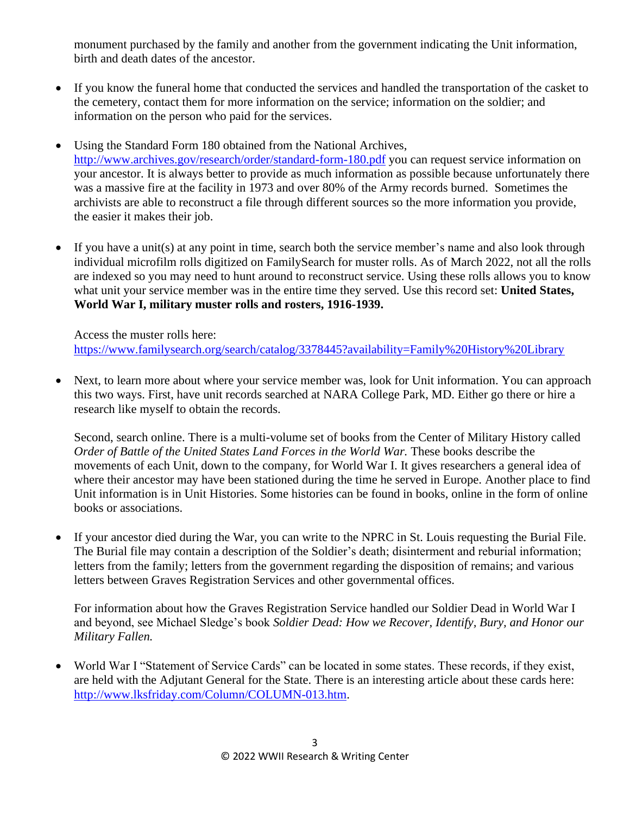monument purchased by the family and another from the government indicating the Unit information, birth and death dates of the ancestor.

- If you know the funeral home that conducted the services and handled the transportation of the casket to the cemetery, contact them for more information on the service; information on the soldier; and information on the person who paid for the services.
- Using the Standard Form 180 obtained from the National Archives, <http://www.archives.gov/research/order/standard-form-180.pdf> you can request service information on your ancestor. It is always better to provide as much information as possible because unfortunately there was a massive fire at the facility in 1973 and over 80% of the Army records burned. Sometimes the archivists are able to reconstruct a file through different sources so the more information you provide, the easier it makes their job.
- If you have a unit(s) at any point in time, search both the service member's name and also look through individual microfilm rolls digitized on FamilySearch for muster rolls. As of March 2022, not all the rolls are indexed so you may need to hunt around to reconstruct service. Using these rolls allows you to know what unit your service member was in the entire time they served. Use this record set: **United States, World War I, military muster rolls and rosters, 1916-1939.**

Access the muster rolls here: <https://www.familysearch.org/search/catalog/3378445?availability=Family%20History%20Library>

• Next, to learn more about where your service member was, look for Unit information. You can approach this two ways. First, have unit records searched at NARA College Park, MD. Either go there or hire a research like myself to obtain the records.

Second, search online. There is a multi-volume set of books from the Center of Military History called *Order of Battle of the United States Land Forces in the World War.* These books describe the movements of each Unit, down to the company, for World War I. It gives researchers a general idea of where their ancestor may have been stationed during the time he served in Europe. Another place to find Unit information is in Unit Histories. Some histories can be found in books, online in the form of online books or associations.

• If your ancestor died during the War, you can write to the NPRC in St. Louis requesting the Burial File. The Burial file may contain a description of the Soldier's death; disinterment and reburial information; letters from the family; letters from the government regarding the disposition of remains; and various letters between Graves Registration Services and other governmental offices.

For information about how the Graves Registration Service handled our Soldier Dead in World War I and beyond, see Michael Sledge's book *Soldier Dead: How we Recover, Identify, Bury, and Honor our Military Fallen.*

• World War I "Statement of Service Cards" can be located in some states. These records, if they exist, are held with the Adjutant General for the State. There is an interesting article about these cards here: [http://www.lksfriday.com/Column/COLUMN-013.htm.](http://www.lksfriday.com/Column/COLUMN-013.htm)